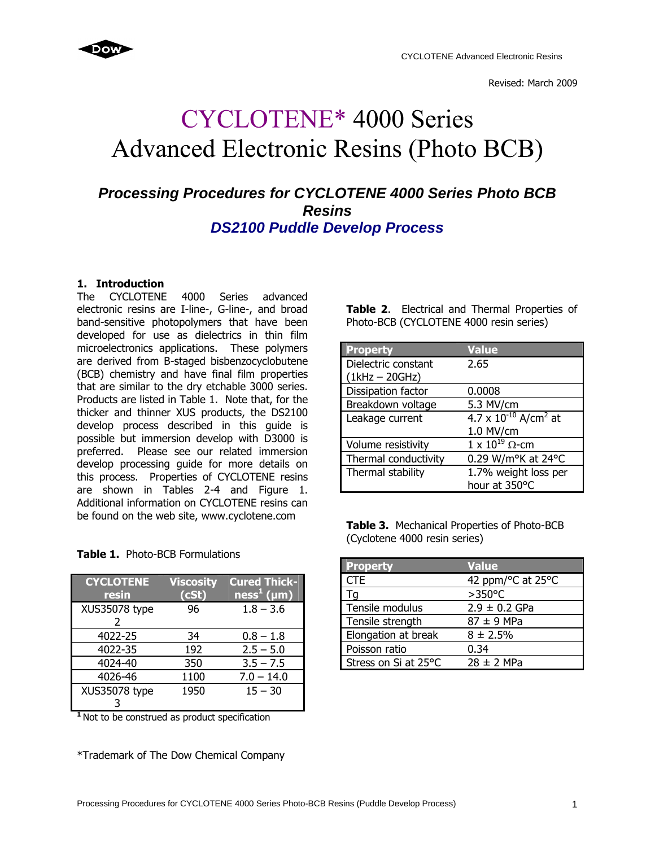

# **CYCLOTENE\*** 4000 Series **Advanced Electronic Resins (Photo BCB)**

# *Processing Procedures for CYCLOTENE 4000 Series Photo BCB Resins DS2100 Puddle Develop Process*

# **1. Introduction**

The CYCLOTENE 4000 Series advanced electronic resins are I-line-, G-line-, and broad band-sensitive photopolymers that have been developed for use as dielectrics in thin film microelectronics applications. These polymers are derived from B-staged bisbenzocyclobutene (BCB) chemistry and have final film properties that are similar to the dry etchable 3000 series. Products are listed in Table 1. Note that, for the thicker and thinner XUS products, the DS2100 develop process described in this guide is possible but immersion develop with D3000 is preferred. Please see our related immersion develop processing guide for more details on this process. Properties of CYCLOTENE resins are shown in Tables 2-4 and Figure 1. Additional information on CYCLOTENE resins can be found on the web site, www.cyclotene.com

|                                         |  | Table 2. Electrical and Thermal Properties of |  |
|-----------------------------------------|--|-----------------------------------------------|--|
| Photo-BCB (CYCLOTENE 4000 resin series) |  |                                               |  |

| <b>Property</b>      | <b>Value</b>                          |
|----------------------|---------------------------------------|
| Dielectric constant  | 2.65                                  |
| $(1kHz - 20GHz)$     |                                       |
| Dissipation factor   | 0.0008                                |
| Breakdown voltage    | 5.3 MV/cm                             |
| Leakage current      | 4.7 x $10^{-10}$ A/cm <sup>2</sup> at |
|                      | 1.0 MV/cm                             |
| Volume resistivity   | $1 \times 10^{19}$ $\Omega$ -cm       |
| Thermal conductivity | 0.29 W/m°K at 24°C                    |
| Thermal stability    | 1.7% weight loss per                  |
|                      | hour at 350°C                         |

| <b>Table 3.</b> Mechanical Properties of Photo-BCB |
|----------------------------------------------------|
| (Cyclotene 4000 resin series)                      |

| <b>Property</b>      | <b>Value</b>      |
|----------------------|-------------------|
| <b>CTE</b>           | 42 ppm/°C at 25°C |
| Гg                   | $>350^{\circ}$ C  |
| Tensile modulus      | $2.9 \pm 0.2$ GPa |
| Tensile strength     | $87 \pm 9$ MPa    |
| Elongation at break  | $8 \pm 2.5\%$     |
| Poisson ratio        | 0.34              |
| Stress on Si at 25°C | $28 \pm 2$ MPa    |

# **Table 1.** Photo-BCB Formulations

| <b>CYCLOTENE</b><br>resin | <b>Viscosity</b><br>(cSt) | <b>Cured Thick-</b><br>ness <sup>1</sup> (µm) |
|---------------------------|---------------------------|-----------------------------------------------|
| XUS35078 type<br>2        | 96                        | $1.8 - 3.6$                                   |
| 4022-25                   | 34                        | $0.8 - 1.8$                                   |
| 4022-35                   | 192                       | $2.5 - 5.0$                                   |
| 4024-40                   | 350                       | $3.5 - 7.5$                                   |
| 4026-46                   | 1100                      | $7.0 - 14.0$                                  |
| XUS35078 type             | 1950                      | $15 - 30$                                     |

<sup>1</sup> Not to be construed as product specification

\*Trademark of The Dow Chemical Company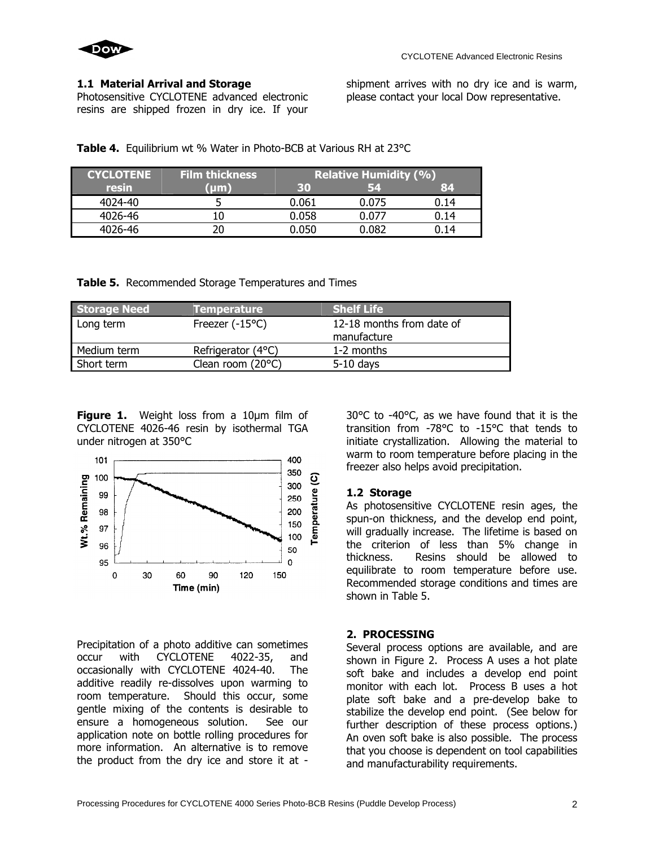

#### **1.1 Material Arrival and Storage**

Photosensitive CYCLOTENE advanced electronic resins are shipped frozen in dry ice. If your shipment arrives with no dry ice and is warm, please contact your local Dow representative.

| <b>CYCLOTENE</b> | <b>Film thickness</b><br><b>Relative Humidity (%)</b> |       |       |      |
|------------------|-------------------------------------------------------|-------|-------|------|
| resin            | $\text{Im}$                                           | 30    | 54    | 84   |
| 4024-40          |                                                       | 0.061 | 0.075 | 0.14 |
| 4026-46          |                                                       | 0.058 | n 077 | ገ.14 |
| 4026-46          |                                                       | 0.050 | - NRC | ı 14 |

Table 4. Equilibrium wt % Water in Photo-BCB at Various RH at 23°C

**Table 5.** Recommended Storage Temperatures and Times

| Storage Need | <b>Temperature</b>         | <b>Shelf Life</b>                        |
|--------------|----------------------------|------------------------------------------|
| Long term    | Freezer $(-15^{\circ}C)$   | 12-18 months from date of<br>manufacture |
| Medium term  | Refrigerator (4°C)         | 1-2 months                               |
| Short term   | Clean room $(20^{\circ}C)$ | $5-10$ days                              |

**Figure 1.** Weight loss from a 10um film of CYCLOTENE 4026-46 resin by isothermal TGA under nitrogen at 350°C



Precipitation of a photo additive can sometimes occur with CYCLOTENE 4022-35, and occasionally with CYCLOTENE 4024-40. The additive readily re-dissolves upon warming to room temperature. Should this occur, some gentle mixing of the contents is desirable to ensure a homogeneous solution. See our application note on bottle rolling procedures for more information. An alternative is to remove the product from the dry ice and store it at -

30°C to -40°C, as we have found that it is the transition from -78°C to -15°C that tends to initiate crystallization. Allowing the material to warm to room temperature before placing in the freezer also helps avoid precipitation.

#### **1.2 Storage**

As photosensitive CYCLOTENE resin ages, the spun-on thickness, and the develop end point, will gradually increase. The lifetime is based on the criterion of less than 5% change in thickness. Resins should be allowed to equilibrate to room temperature before use. Recommended storage conditions and times are shown in Table 5.

#### **2. PROCESSING**

Several process options are available, and are shown in Figure 2. Process A uses a hot plate soft bake and includes a develop end point monitor with each lot. Process B uses a hot plate soft bake and a pre-develop bake to stabilize the develop end point. (See below for further description of these process options.) An oven soft bake is also possible. The process that you choose is dependent on tool capabilities and manufacturability requirements.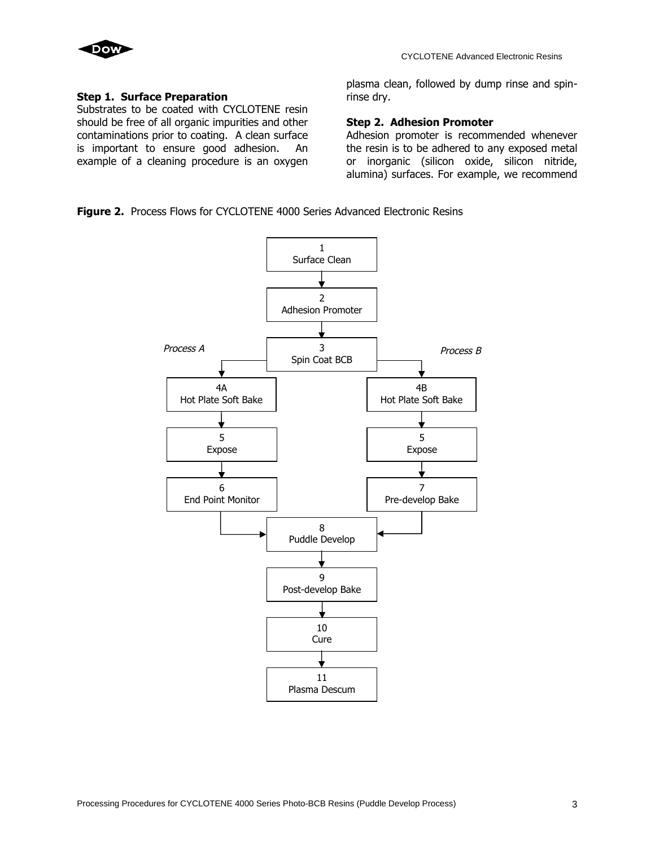

# **Step 1. Surface Preparation**

Substrates to be coated with CYCLOTENE resin should be free of all organic impurities and other contaminations prior to coating. A clean surface is important to ensure good adhesion. An example of a cleaning procedure is an oxygen plasma clean, followed by dump rinse and spinrinse dry.

# **Step 2. Adhesion Promoter**

Adhesion promoter is recommended whenever the resin is to be adhered to any exposed metal or inorganic (silicon oxide, silicon nitride, alumina) surfaces. For example, we recommend

**Figure 2.** Process Flows for CYCLOTENE 4000 Series Advanced Electronic Resins

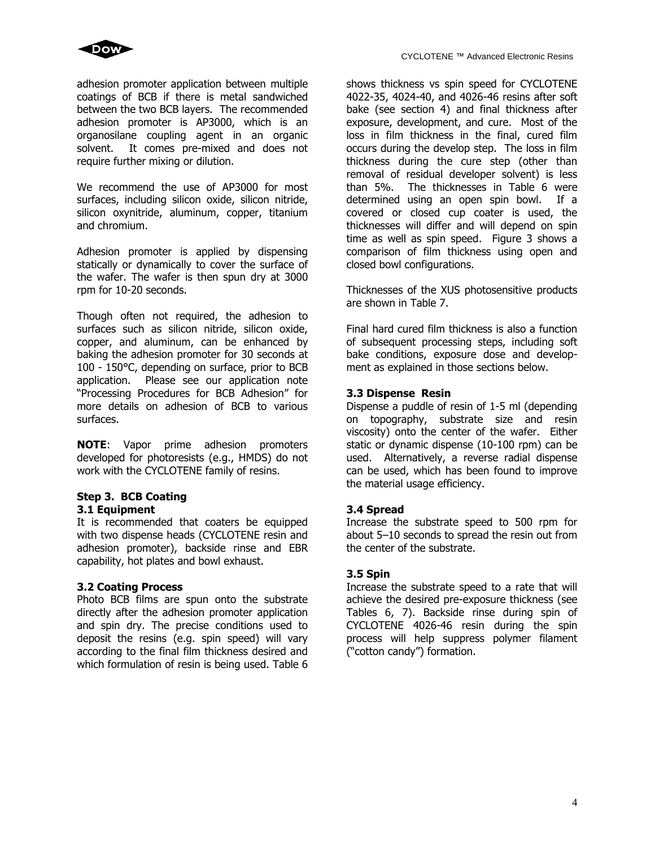

adhesion promoter application between multiple coatings of BCB if there is metal sandwiched between the two BCB layers. The recommended adhesion promoter is AP3000, which is an organosilane coupling agent in an organic solvent. It comes pre-mixed and does not require further mixing or dilution.

We recommend the use of AP3000 for most surfaces, including silicon oxide, silicon nitride, silicon oxynitride, aluminum, copper, titanium and chromium.

Adhesion promoter is applied by dispensing statically or dynamically to cover the surface of the wafer. The wafer is then spun dry at 3000 rpm for 10-20 seconds.

Though often not required, the adhesion to surfaces such as silicon nitride, silicon oxide, copper, and aluminum, can be enhanced by baking the adhesion promoter for 30 seconds at 100 - 150°C, depending on surface, prior to BCB application. Please see our application note "Processing Procedures for BCB Adhesion" for more details on adhesion of BCB to various surfaces.

**NOTE**: Vapor prime adhesion promoters developed for photoresists (e.g., HMDS) do not work with the CYCLOTENE family of resins.

#### **Step 3. BCB Coating 3.1 Equipment**

It is recommended that coaters be equipped with two dispense heads (CYCLOTENE resin and adhesion promoter), backside rinse and EBR capability, hot plates and bowl exhaust.

# **3.2 Coating Process**

Photo BCB films are spun onto the substrate directly after the adhesion promoter application and spin dry. The precise conditions used to deposit the resins (e.g. spin speed) will vary according to the final film thickness desired and which formulation of resin is being used. Table 6

shows thickness vs spin speed for CYCLOTENE 4022-35, 4024-40, and 4026-46 resins after soft bake (see section 4) and final thickness after exposure, development, and cure. Most of the loss in film thickness in the final, cured film occurs during the develop step. The loss in film thickness during the cure step (other than removal of residual developer solvent) is less than 5%. The thicknesses in Table 6 were determined using an open spin bowl. If a covered or closed cup coater is used, the thicknesses will differ and will depend on spin time as well as spin speed. Figure 3 shows a comparison of film thickness using open and closed bowl configurations.

Thicknesses of the XUS photosensitive products are shown in Table 7.

Final hard cured film thickness is also a function of subsequent processing steps, including soft bake conditions, exposure dose and development as explained in those sections below.

#### **3.3 Dispense Resin**

Dispense a puddle of resin of 1-5 ml (depending on topography, substrate size and resin viscosity) onto the center of the wafer. Either static or dynamic dispense (10-100 rpm) can be used. Alternatively, a reverse radial dispense can be used, which has been found to improve the material usage efficiency.

# **3.4 Spread**

Increase the substrate speed to 500 rpm for about 5–10 seconds to spread the resin out from the center of the substrate.

# **3.5 Spin**

Increase the substrate speed to a rate that will achieve the desired pre-exposure thickness (see Tables 6, 7). Backside rinse during spin of CYCLOTENE 4026-46 resin during the spin process will help suppress polymer filament ("cotton candy") formation.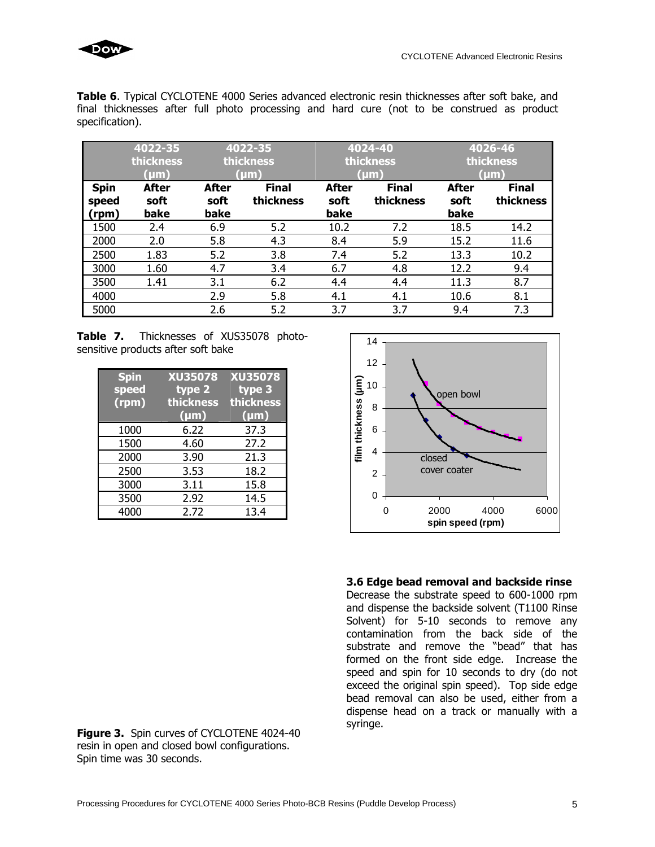

**Table 6**. Typical CYCLOTENE 4000 Series advanced electronic resin thicknesses after soft bake, and final thicknesses after full photo processing and hard cure (not to be construed as product specification).

|                               | 4022-35                      |                              | 4022-35                   |                              | 4024-40                   |                              | 4026-46                   |
|-------------------------------|------------------------------|------------------------------|---------------------------|------------------------------|---------------------------|------------------------------|---------------------------|
|                               | thickness                    |                              | thickness                 |                              | thickness                 |                              | thickness                 |
|                               | (µm)                         |                              | (µm)                      |                              | (µm)                      |                              | $(\mu m)$                 |
| <b>Spin</b><br>speed<br>(rpm) | <b>After</b><br>soft<br>bake | <b>After</b><br>soft<br>bake | <b>Final</b><br>thickness | <b>After</b><br>soft<br>bake | <b>Final</b><br>thickness | <b>After</b><br>soft<br>bake | <b>Final</b><br>thickness |
| 1500                          | 2.4                          | 6.9                          | 5.2                       | 10.2                         | 7.2                       | 18.5                         | 14.2                      |
| 2000                          | 2.0                          | 5.8                          | 4.3                       | 8.4                          | 5.9                       | 15.2                         | 11.6                      |
| 2500                          | 1.83                         | 5.2                          | 3.8                       | 7.4                          | 5.2                       | 13.3                         | 10.2                      |
| 3000                          | 1.60                         | 4.7                          | 3.4                       | 6.7                          | 4.8                       | 12.2                         | 9.4                       |
| 3500                          | 1.41                         | 3.1                          | 6.2                       | 4.4                          | 4.4                       | 11.3                         | 8.7                       |
| 4000                          |                              | 2.9                          | 5.8                       | 4.1                          | 4.1                       | 10.6                         | 8.1                       |
| 5000                          |                              | 2.6                          | 5.2                       | 3.7                          | 3.7                       | 9.4                          | 7.3                       |

**Table 7.** Thicknesses of XUS35078 photosensitive products after soft bake

| <b>Spin</b><br>speed<br>(rpm) | <b>XU35078</b><br>type 2<br>thickness<br>(µm) | <b>XU35078</b><br>type 3<br>thickness<br>$(\mu m)$ |
|-------------------------------|-----------------------------------------------|----------------------------------------------------|
| 1000                          | 6.22                                          | 37.3                                               |
| 1500                          | 4.60                                          | 27.2                                               |
| 2000                          | 3.90                                          | 21.3                                               |
| 2500                          | 3.53                                          | 18.2                                               |
| 3000                          | 3.11                                          | 15.8                                               |
| 3500                          | 2.92                                          | 14.5                                               |
| 4000                          | 2.72                                          | 13.4                                               |



# **3.6 Edge bead removal and backside rinse**

Decrease the substrate speed to 600-1000 rpm and dispense the backside solvent (T1100 Rinse Solvent) for 5-10 seconds to remove any contamination from the back side of the substrate and remove the "bead" that has formed on the front side edge. Increase the speed and spin for 10 seconds to dry (do not exceed the original spin speed). Top side edge bead removal can also be used, either from a dispense head on a track or manually with a syringe.

**Figure 3.** Spin curves of CYCLOTENE 4024-40 resin in open and closed bowl configurations. Spin time was 30 seconds.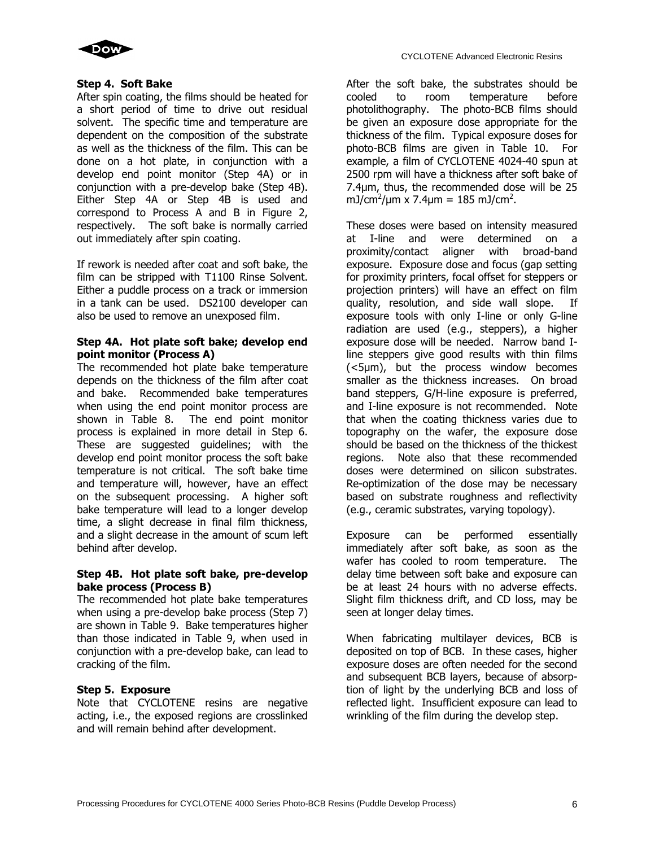

#### **Step 4. Soft Bake**

After spin coating, the films should be heated for a short period of time to drive out residual solvent. The specific time and temperature are dependent on the composition of the substrate as well as the thickness of the film. This can be done on a hot plate, in conjunction with a develop end point monitor (Step 4A) or in conjunction with a pre-develop bake (Step 4B). Either Step 4A or Step 4B is used and correspond to Process A and B in Figure 2, respectively. The soft bake is normally carried out immediately after spin coating.

If rework is needed after coat and soft bake, the film can be stripped with T1100 Rinse Solvent. Either a puddle process on a track or immersion in a tank can be used. DS2100 developer can also be used to remove an unexposed film.

#### **Step 4A. Hot plate soft bake; develop end point monitor (Process A)**

The recommended hot plate bake temperature depends on the thickness of the film after coat and bake. Recommended bake temperatures when using the end point monitor process are shown in Table 8. The end point monitor process is explained in more detail in Step 6. These are suggested guidelines; with the develop end point monitor process the soft bake temperature is not critical. The soft bake time and temperature will, however, have an effect on the subsequent processing. A higher soft bake temperature will lead to a longer develop time, a slight decrease in final film thickness, and a slight decrease in the amount of scum left behind after develop.

#### **Step 4B. Hot plate soft bake, pre-develop bake process (Process B)**

The recommended hot plate bake temperatures when using a pre-develop bake process (Step 7) are shown in Table 9. Bake temperatures higher than those indicated in Table 9, when used in conjunction with a pre-develop bake, can lead to cracking of the film.

#### **Step 5. Exposure**

Note that CYCLOTENE resins are negative acting, i.e., the exposed regions are crosslinked and will remain behind after development.

After the soft bake, the substrates should be cooled to room temperature before photolithography. The photo-BCB films should be given an exposure dose appropriate for the thickness of the film. Typical exposure doses for photo-BCB films are given in Table 10. For example, a film of CYCLOTENE 4024-40 spun at 2500 rpm will have a thickness after soft bake of 7.4µm, thus, the recommended dose will be 25 mJ/cm<sup>2</sup>/µm x 7.4µm = 185 mJ/cm<sup>2</sup>.

These doses were based on intensity measured at I-line and were determined on a proximity/contact aligner with broad-band exposure. Exposure dose and focus (gap setting for proximity printers, focal offset for steppers or projection printers) will have an effect on film quality, resolution, and side wall slope. If exposure tools with only I-line or only G-line radiation are used (e.g., steppers), a higher exposure dose will be needed. Narrow band Iline steppers give good results with thin films (<5μm), but the process window becomes smaller as the thickness increases. On broad band steppers, G/H-line exposure is preferred, and I-line exposure is not recommended. Note that when the coating thickness varies due to topography on the wafer, the exposure dose should be based on the thickness of the thickest regions. Note also that these recommended doses were determined on silicon substrates. Re-optimization of the dose may be necessary based on substrate roughness and reflectivity (e.g., ceramic substrates, varying topology).

Exposure can be performed essentially immediately after soft bake, as soon as the wafer has cooled to room temperature. The delay time between soft bake and exposure can be at least 24 hours with no adverse effects. Slight film thickness drift, and CD loss, may be seen at longer delay times.

When fabricating multilayer devices, BCB is deposited on top of BCB. In these cases, higher exposure doses are often needed for the second and subsequent BCB layers, because of absorption of light by the underlying BCB and loss of reflected light. Insufficient exposure can lead to wrinkling of the film during the develop step.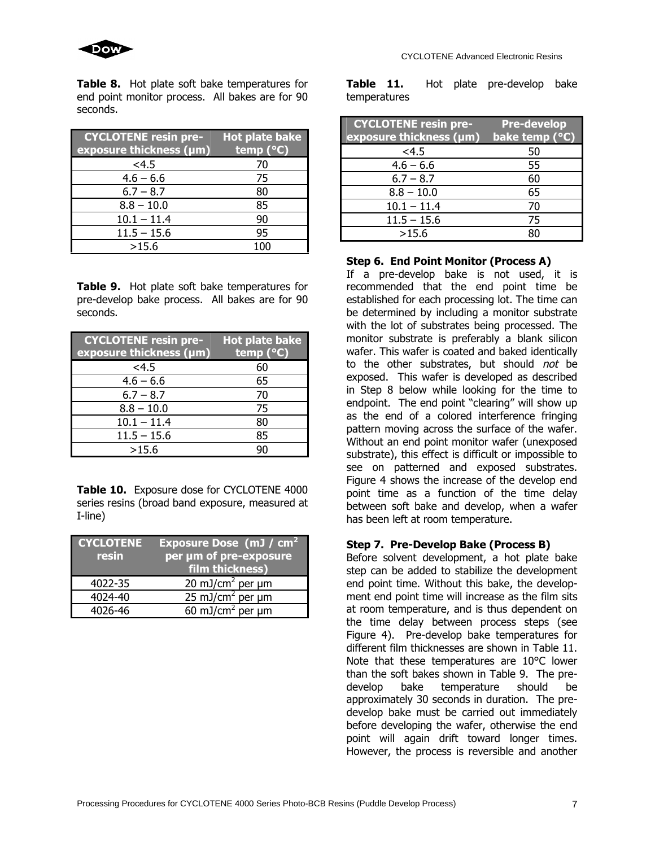

**Table 8.** Hot plate soft bake temperatures for end point monitor process. All bakes are for 90 seconds.

| <b>CYCLOTENE resin pre-</b><br>exposure thickness (µm) | Hot plate bake<br>temp $(^{\circ}C)$ |
|--------------------------------------------------------|--------------------------------------|
| $<$ 4.5                                                | 70                                   |
| $4.6 - 6.6$                                            | 75                                   |
| $6.7 - 8.7$                                            | 80                                   |
| $8.8 - 10.0$                                           | 85                                   |
| $10.1 - 11.4$                                          | 90                                   |
| $11.5 - 15.6$                                          | 95                                   |
| >15.6                                                  | 100                                  |

**Table 9.** Hot plate soft bake temperatures for pre-develop bake process. All bakes are for 90 seconds.

| <b>CYCLOTENE resin pre-</b><br>exposure thickness (µm) | Hot plate bake<br>temp $(^{\circ}C)$ |
|--------------------------------------------------------|--------------------------------------|
| $<$ 4.5                                                | 60                                   |
| $4.6 - 6.6$                                            | 65                                   |
| $6.7 - 8.7$                                            | 70                                   |
| $8.8 - 10.0$                                           | 75                                   |
| $10.1 - 11.4$                                          | 80                                   |
| $11.5 - 15.6$                                          | 85                                   |
| >15.6                                                  |                                      |

**Table 10.** Exposure dose for CYCLOTENE 4000 series resins (broad band exposure, measured at I-line)

| <b>CYCLOTENE</b><br>resin | <b>Exposure Dose (mJ / cm<sup>2</sup>)</b><br>per µm of pre-exposure<br>film thickness) |
|---------------------------|-----------------------------------------------------------------------------------------|
| 4022-35                   | 20 mJ/cm <sup>2</sup> per $\mu$ m                                                       |
| 4024-40                   | 25 mJ/cm <sup>2</sup> per $\mu$ m                                                       |
| 4026-46                   | 60 mJ/cm <sup>2</sup> per $\mu$ m                                                       |

|              |  | <b>Table 11.</b> Hot plate pre-develop bake |  |
|--------------|--|---------------------------------------------|--|
| temperatures |  |                                             |  |
|              |  |                                             |  |

| <b>CYCLOTENE resin pre-</b> | <b>Pre-develop</b> |
|-----------------------------|--------------------|
| exposure thickness (µm)     | bake temp (°C)     |
| $<$ 4.5                     | 50                 |
| $4.6 - 6.6$                 | 55                 |
| $6.7 - 8.7$                 | 60                 |
| $8.8 - 10.0$                | 65                 |
| $10.1 - 11.4$               | 70                 |
| $11.5 - 15.6$               | 75                 |
| >15.6                       |                    |

#### **Step 6. End Point Monitor (Process A)**

If a pre-develop bake is not used, it is recommended that the end point time be established for each processing lot. The time can be determined by including a monitor substrate with the lot of substrates being processed. The monitor substrate is preferably a blank silicon wafer. This wafer is coated and baked identically to the other substrates, but should not be exposed. This wafer is developed as described in Step 8 below while looking for the time to endpoint. The end point "clearing" will show up as the end of a colored interference fringing pattern moving across the surface of the wafer. Without an end point monitor wafer (unexposed substrate), this effect is difficult or impossible to see on patterned and exposed substrates. Figure 4 shows the increase of the develop end point time as a function of the time delay between soft bake and develop, when a wafer has been left at room temperature.

#### **Step 7. Pre-Develop Bake (Process B)**

Before solvent development, a hot plate bake step can be added to stabilize the development end point time. Without this bake, the development end point time will increase as the film sits at room temperature, and is thus dependent on the time delay between process steps (see Figure 4). Pre-develop bake temperatures for different film thicknesses are shown in Table 11. Note that these temperatures are 10°C lower than the soft bakes shown in Table 9. The predevelop bake temperature should be approximately 30 seconds in duration. The predevelop bake must be carried out immediately before developing the wafer, otherwise the end point will again drift toward longer times. However, the process is reversible and another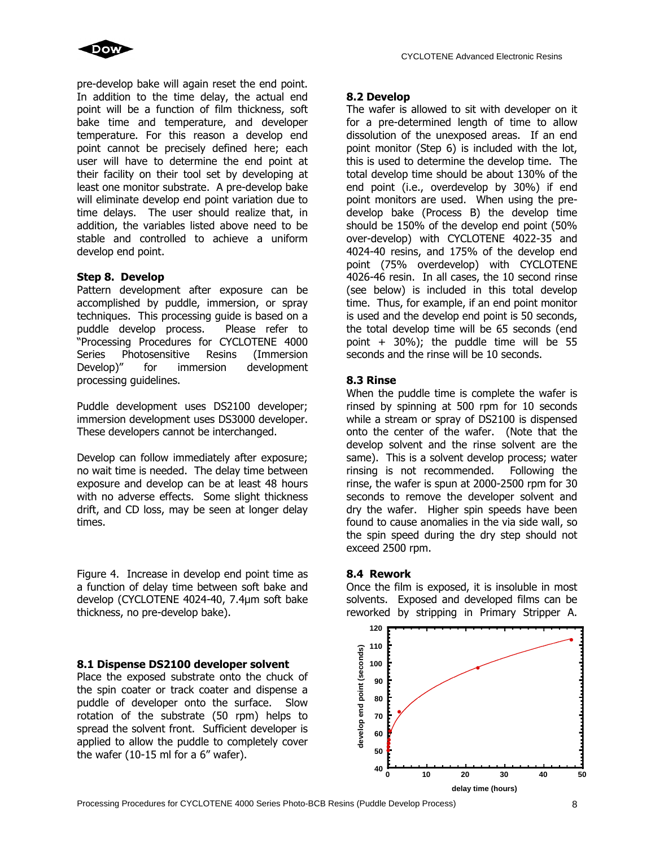

pre-develop bake will again reset the end point. In addition to the time delay, the actual end point will be a function of film thickness, soft bake time and temperature, and developer temperature. For this reason a develop end point cannot be precisely defined here; each user will have to determine the end point at their facility on their tool set by developing at least one monitor substrate. A pre-develop bake will eliminate develop end point variation due to time delays. The user should realize that, in addition, the variables listed above need to be stable and controlled to achieve a uniform develop end point.

#### **Step 8. Develop**

Pattern development after exposure can be accomplished by puddle, immersion, or spray techniques. This processing guide is based on a puddle develop process. Please refer to "Processing Procedures for CYCLOTENE 4000 Series Photosensitive Resins (Immersion Develop)" for immersion development processing guidelines.

Puddle development uses DS2100 developer; immersion development uses DS3000 developer. These developers cannot be interchanged.

Develop can follow immediately after exposure; no wait time is needed. The delay time between exposure and develop can be at least 48 hours with no adverse effects. Some slight thickness drift, and CD loss, may be seen at longer delay times.

Figure 4. Increase in develop end point time as a function of delay time between soft bake and develop (CYCLOTENE 4024-40, 7.4µm soft bake thickness, no pre-develop bake).

# **8.1 Dispense DS2100 developer solvent**

Place the exposed substrate onto the chuck of the spin coater or track coater and dispense a puddle of developer onto the surface. Slow rotation of the substrate (50 rpm) helps to spread the solvent front. Sufficient developer is applied to allow the puddle to completely cover the wafer (10-15 ml for a 6" wafer).

# **8.2 Develop**

The wafer is allowed to sit with developer on it for a pre-determined length of time to allow dissolution of the unexposed areas. If an end point monitor (Step 6) is included with the lot, this is used to determine the develop time. The total develop time should be about 130% of the end point (i.e., overdevelop by 30%) if end point monitors are used. When using the predevelop bake (Process B) the develop time should be 150% of the develop end point (50% over-develop) with CYCLOTENE 4022-35 and 4024-40 resins, and 175% of the develop end point (75% overdevelop) with CYCLOTENE 4026-46 resin. In all cases, the 10 second rinse (see below) is included in this total develop time. Thus, for example, if an end point monitor is used and the develop end point is 50 seconds, the total develop time will be 65 seconds (end point  $+$  30%); the puddle time will be 55 seconds and the rinse will be 10 seconds.

# **8.3 Rinse**

When the puddle time is complete the wafer is rinsed by spinning at 500 rpm for 10 seconds while a stream or spray of DS2100 is dispensed onto the center of the wafer. (Note that the develop solvent and the rinse solvent are the same). This is a solvent develop process; water rinsing is not recommended. Following the rinse, the wafer is spun at 2000-2500 rpm for 30 seconds to remove the developer solvent and dry the wafer. Higher spin speeds have been found to cause anomalies in the via side wall, so the spin speed during the dry step should not exceed 2500 rpm.

# **8.4 Rework**

Once the film is exposed, it is insoluble in most solvents. Exposed and developed films can be reworked by stripping in Primary Stripper A.

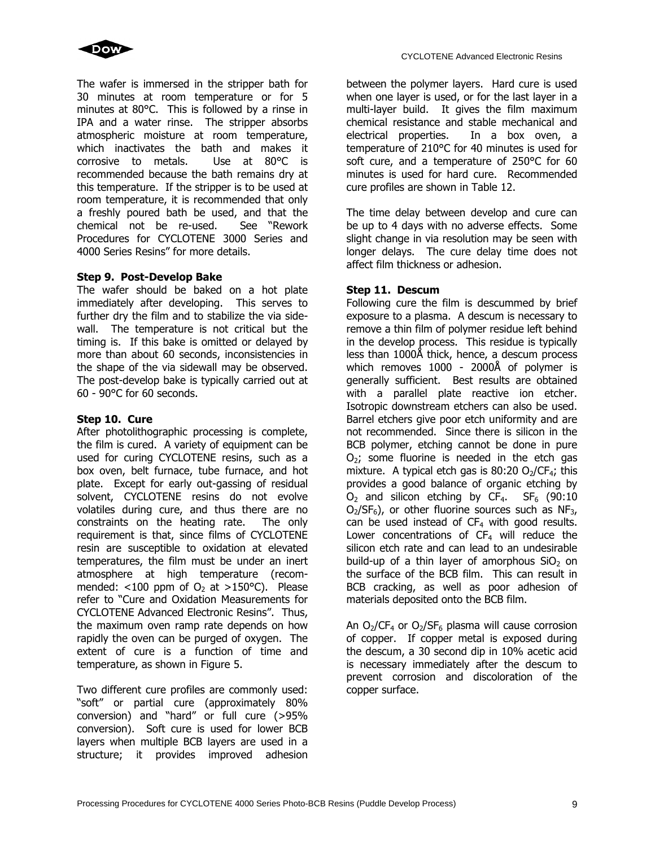

The wafer is immersed in the stripper bath for 30 minutes at room temperature or for 5 minutes at 80°C. This is followed by a rinse in IPA and a water rinse. The stripper absorbs atmospheric moisture at room temperature, which inactivates the bath and makes it corrosive to metals. Use at 80°C is recommended because the bath remains dry at this temperature. If the stripper is to be used at room temperature, it is recommended that only a freshly poured bath be used, and that the chemical not be re-used. See "Rework Procedures for CYCLOTENE 3000 Series and 4000 Series Resins" for more details.

#### **Step 9. Post-Develop Bake**

The wafer should be baked on a hot plate immediately after developing. This serves to further dry the film and to stabilize the via sidewall. The temperature is not critical but the timing is. If this bake is omitted or delayed by more than about 60 seconds, inconsistencies in the shape of the via sidewall may be observed. The post-develop bake is typically carried out at 60 - 90°C for 60 seconds.

#### **Step 10. Cure**

After photolithographic processing is complete, the film is cured. A variety of equipment can be used for curing CYCLOTENE resins, such as a box oven, belt furnace, tube furnace, and hot plate. Except for early out-gassing of residual solvent, CYCLOTENE resins do not evolve volatiles during cure, and thus there are no constraints on the heating rate. The only requirement is that, since films of CYCLOTENE resin are susceptible to oxidation at elevated temperatures, the film must be under an inert atmosphere at high temperature (recommended:  $< 100$  ppm of O<sub>2</sub> at  $> 150^{\circ}$ C). Please refer to "Cure and Oxidation Measurements for CYCLOTENE Advanced Electronic Resins". Thus, the maximum oven ramp rate depends on how rapidly the oven can be purged of oxygen. The extent of cure is a function of time and temperature, as shown in Figure 5.

Two different cure profiles are commonly used: "soft" or partial cure (approximately 80% conversion) and "hard" or full cure (>95% conversion). Soft cure is used for lower BCB layers when multiple BCB layers are used in a structure; it provides improved adhesion

between the polymer layers. Hard cure is used when one layer is used, or for the last layer in a multi-layer build. It gives the film maximum chemical resistance and stable mechanical and electrical properties. In a box oven, a temperature of 210°C for 40 minutes is used for soft cure, and a temperature of 250°C for 60 minutes is used for hard cure. Recommended cure profiles are shown in Table 12.

The time delay between develop and cure can be up to 4 days with no adverse effects. Some slight change in via resolution may be seen with longer delays. The cure delay time does not affect film thickness or adhesion.

#### **Step 11. Descum**

Following cure the film is descummed by brief exposure to a plasma. A descum is necessary to remove a thin film of polymer residue left behind in the develop process. This residue is typically less than 1000Å thick, hence, a descum process which removes 1000 - 2000Å of polymer is generally sufficient. Best results are obtained with a parallel plate reactive ion etcher. Isotropic downstream etchers can also be used. Barrel etchers give poor etch uniformity and are not recommended. Since there is silicon in the BCB polymer, etching cannot be done in pure  $O<sub>2</sub>$ ; some fluorine is needed in the etch gas mixture. A typical etch gas is 80:20  $O_2/CF_4$ ; this provides a good balance of organic etching by  $O<sub>2</sub>$  and silicon etching by CF<sub>4</sub>. SF<sub>6</sub> (90:10)  $O<sub>2</sub>/SF<sub>6</sub>$ ), or other fluorine sources such as NF<sub>3</sub>, can be used instead of  $CF_4$  with good results. Lower concentrations of  $CF_4$  will reduce the silicon etch rate and can lead to an undesirable build-up of a thin layer of amorphous  $SiO<sub>2</sub>$  on the surface of the BCB film. This can result in BCB cracking, as well as poor adhesion of materials deposited onto the BCB film.

An  $O_2/CF_4$  or  $O_2/SF_6$  plasma will cause corrosion of copper. If copper metal is exposed during the descum, a 30 second dip in 10% acetic acid is necessary immediately after the descum to prevent corrosion and discoloration of the copper surface.